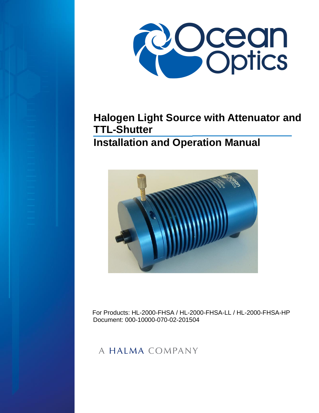

**Halogen Light Source with Attenuator and TTL-Shutter Installation and Operation Manual**



 For Products: HL-2000-FHSA / HL-2000-FHSA-LL / HL-2000-FHSA-HP Document: 000-10000-070-02-201504

A HALMA COMPANY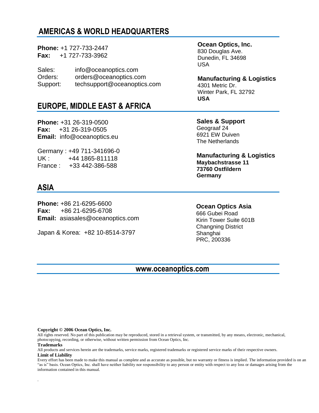### **AMERICAS & WORLD HEADQUARTERS**

**Phone:** +1 727-733-2447 **Fax:** +1 727-733-3962

Sales: info@oceanoptics.com Orders: orders@oceanoptics.com Support: techsupport@oceanoptics.com

#### **Ocean Optics, Inc.**

830 Douglas Ave. Dunedin, FL 34698 USA

**Manufacturing & Logistics** 4301 Metric Dr.

Winter Park, FL 32792 **USA**

#### **EUROPE, MIDDLE EAST & AFRICA**

**Phone:** +31 26-319-0500 **Fax:** +31 26-319-0505 **Email:** info@oceanoptics.eu

Germany : +49 711-341696-0 UK: +44 1865-811118 France : +33 442-386-588

#### **ASIA**

**Phone:** +86 21-6295-6600 **Fax:** +86 21-6295-6708 **Email:** asiasales@oceanoptics.com

Japan & Korea: +82 10-8514-3797

**Sales & Support** Geograaf 24 6921 EW Duiven The Netherlands

**Manufacturing & Logistics Maybachstrasse 11 73760 Ostfildern Germany** 

**Ocean Optics Asia** 666 Gubei Road Kirin Tower Suite 601B Changning District **Shanghai** PRC, 200336

#### **www.oceanoptics.com**

#### **Copyright © 2006 Ocean Optics, Inc.**

All rights reserved. No part of this publication may be reproduced, stored in a retrieval system, or transmitted, by any means, electronic, mechanical, photocopying, recording, or otherwise, without written permission from Ocean Optics, Inc.

#### **Trademarks**

.

All products and services herein are the trademarks, service marks, registered trademarks or registered service marks of their respective owners. **Limit of Liability**

Every effort has been made to make this manual as complete and as accurate as possible, but no warranty or fitness is implied. The information provided is on an "as is" basis. Ocean Optics, Inc. shall have neither liability nor responsibility to any person or entity with respect to any loss or damages arising from the information contained in this manual.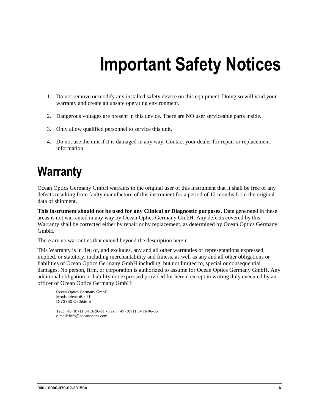# **Important Safety Notices**

- 1. Do not remove or modify any installed safety device on this equipment. Doing so will void your warranty and create an unsafe operating environment.
- 2. Dangerous voltages are present in this device. There are NO user serviceable parts inside.
- 3. Only allow qualified personnel to service this unit.
- 4. Do not use the unit if it is damaged in any way. Contact your dealer for repair or replacement information.

## **Warranty**

Ocean Optics Germany GmbH warrants to the original user of this instrument that it shall be free of any defects resulting from faulty manufacture of this instrument for a period of 12 months from the original data of shipment.

**This instrument should not be used for any Clinical or Diagnostic purposes**. Data generated in these areas is not warranted in any way by Ocean Optics Germany GmbH. Any defects covered by this Warranty shall be corrected either by repair or by replacement, as determined by Ocean Optics Germany GmbH.

There are no warranties that extend beyond the description herein.

This Warranty is in lieu of, and excludes, any and all other warranties or representations expressed, implied, or statutory, including merchantability and fitness, as well as any and all other obligations or liabilities of Ocean Optics Germany GmbH including, but not limited to, special or consequential damages. No person, firm, or corporation is authorized to assume for Ocean Optics Germany GmbH. Any additional obligation or liability not expressed provided for herein except in writing duly executed by an officer of Ocean Optics Germany GmbH:

Ocean Optics Germany GmbH Maybachstraße 11 D-73760 Ostfildern

Tel.: +49 (0)711 34 16 96-51 • Fax.: +49 (0)711 34 16 96-85 e-mail: info@oceanoptics.com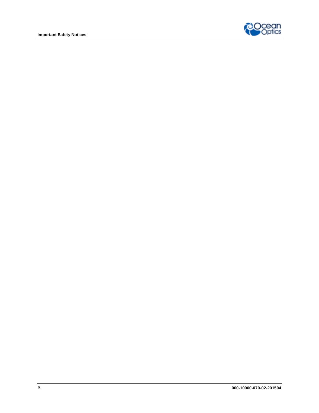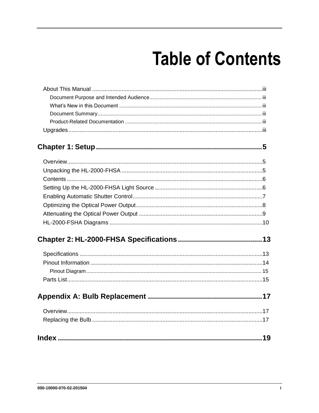# **Table of Contents**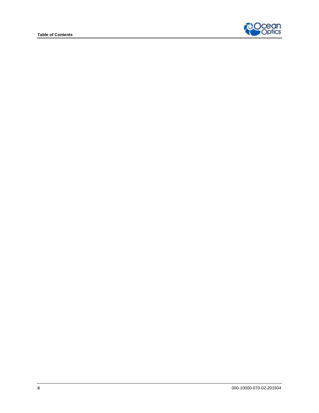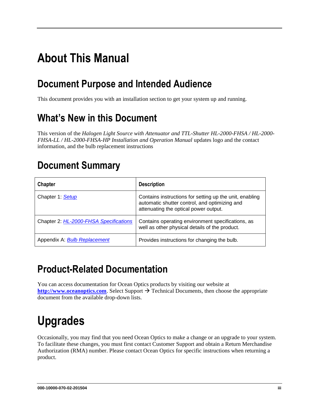## **About This Manual**

### **Document Purpose and Intended Audience**

This document provides you with an installation section to get your system up and running.

### **What's New in this Document**

This version of the *Halogen Light Source with Attenuator and TTL-Shutter HL-2000-FHSA / HL-2000- FHSA-LL / HL-2000-FHSA-HP Installation and Operation Manual* updates logo and the contact information, and the bulb replacement instructions

### **Document Summary**

| <b>Chapter</b>                         | <b>Description</b>                                                                                                                                |
|----------------------------------------|---------------------------------------------------------------------------------------------------------------------------------------------------|
| Chapter 1: Setup                       | Contains instructions for setting up the unit, enabling<br>automatic shutter control, and optimizing and<br>attenuating the optical power output. |
| Chapter 2: HL-2000-FHSA Specifications | Contains operating environment specifications, as<br>well as other physical details of the product.                                               |
| Appendix A: <b>Bulb Replacement</b>    | Provides instructions for changing the bulb.                                                                                                      |

### **Product-Related Documentation**

You can access documentation for Ocean Optics products by visiting our website at **http://www.oceanoptics.com**. Select Support  $\rightarrow$  Technical Documents, then choose the appropriate document from the available drop-down lists.

# **Upgrades**

Occasionally, you may find that you need Ocean Optics to make a change or an upgrade to your system. To facilitate these changes, you must first contact Customer Support and obtain a Return Merchandise Authorization (RMA) number. Please contact Ocean Optics for specific instructions when returning a product.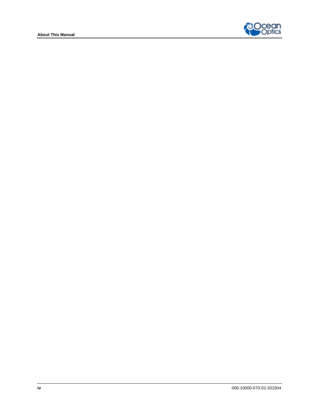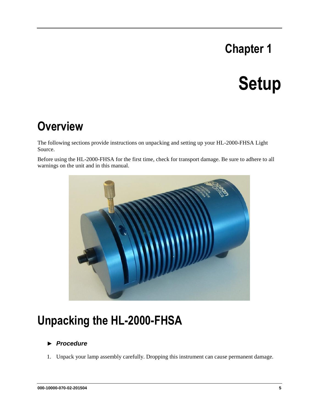# **Chapter 1**

# **Setup**

## **Overview**

The following sections provide instructions on unpacking and setting up your HL-2000-FHSA Light Source.

Before using the HL-2000-FHSA for the first time, check for transport damage. Be sure to adhere to all warnings on the unit and in this manual.



## **Unpacking the HL-2000-FHSA**

#### ► *Procedure*

1. Unpack your lamp assembly carefully. Dropping this instrument can cause permanent damage.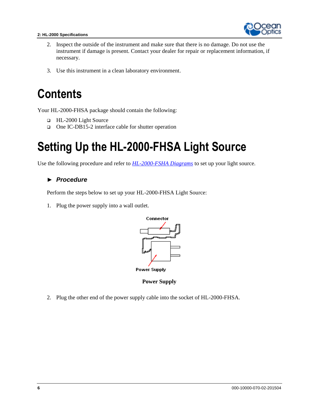#### **2: HL-2000 Specifications**



- 2. Inspect the outside of the instrument and make sure that there is no damage. Do not use the instrument if damage is present. Contact your dealer for repair or replacement information, if necessary.
- 3. Use this instrument in a clean laboratory environment.

## **Contents**

Your HL-2000-FHSA package should contain the following:

- HL-2000 Light Source
- □ One IC-DB15-2 interface cable for shutter operation

# **Setting Up the HL-2000-FHSA Light Source**

Use the following procedure and refer to *HL-2000-FSHA Diagrams* to set up your light source.

#### ► *Procedure*

Perform the steps below to set up your HL-2000-FHSA Light Source:

1. Plug the power supply into a wall outlet.



**Power Supply**

2. Plug the other end of the power supply cable into the socket of HL-2000-FHSA.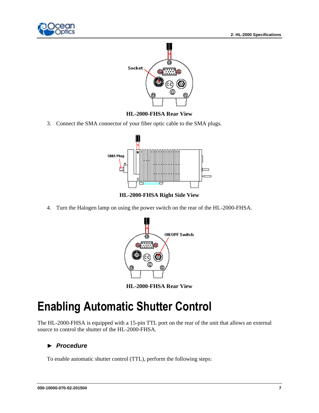



**HL-2000-FHSA Rear View**

3. Connect the SMA connector of your fiber optic cable to the SMA plugs.



**HL-2000-FHSA Right Side View**

4. Turn the Halogen lamp on using the power switch on the rear of the HL-2000-FHSA.



**HL-2000-FHSA Rear View**

### **Enabling Automatic Shutter Control**

The HL-2000-FHSA is equipped with a 15-pin TTL port on the rear of the unit that allows an external source to control the shutter of the HL-2000-FHSA.

#### ► *Procedure*

To enable automatic shutter control (TTL), perform the following steps: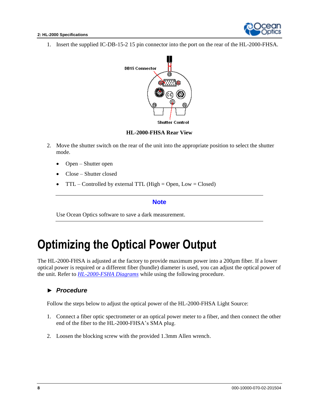

1. Insert the supplied IC-DB-15-2 15 pin connector into the port on the rear of the HL-2000-FHSA.



**HL-2000-FHSA Rear View**

- 2. Move the shutter switch on the rear of the unit into the appropriate position to select the shutter mode.
	- Open Shutter open
	- Close Shutter closed
	- TTL Controlled by external TTL (High = Open,  $Low = Closed$ )

#### **Note**

Use Ocean Optics software to save a dark measurement.

### **Optimizing the Optical Power Output**

The HL-2000-FHSA is adjusted at the factory to provide maximum power into a 200µm fiber. If a lower optical power is required or a different fiber (bundle) diameter is used, you can adjust the optical power of the unit. Refer to *HL-2000-FSHA Diagrams* while using the following procedure.

#### ► *Procedure*

Follow the steps below to adjust the optical power of the HL-2000-FHSA Light Source:

- 1. Connect a fiber optic spectrometer or an optical power meter to a fiber, and then connect the other end of the fiber to the HL-2000-FHSA's SMA plug.
- 2. Loosen the blocking screw with the provided 1.3mm Allen wrench.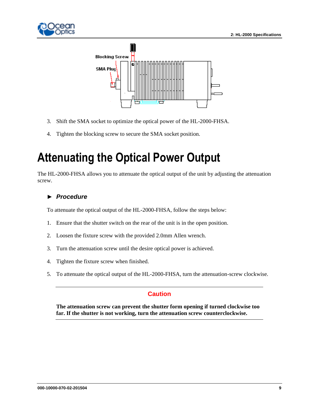



- 3. Shift the SMA socket to optimize the optical power of the HL-2000-FHSA.
- 4. Tighten the blocking screw to secure the SMA socket position.

### **Attenuating the Optical Power Output**

The HL-2000-FHSA allows you to attenuate the optical output of the unit by adjusting the attenuation screw.

#### ► *Procedure*

To attenuate the optical output of the HL-2000-FHSA, follow the steps below:

- 1. Ensure that the shutter switch on the rear of the unit is in the open position.
- 2. Loosen the fixture screw with the provided 2.0mm Allen wrench.
- 3. Turn the attenuation screw until the desire optical power is achieved.
- 4. Tighten the fixture screw when finished.
- 5. To attenuate the optical output of the HL-2000-FHSA, turn the attenuation-screw clockwise.

#### **Caution**

**The attenuation screw can prevent the shutter form opening if turned clockwise too far. If the shutter is not working, turn the attenuation screw counterclockwise.**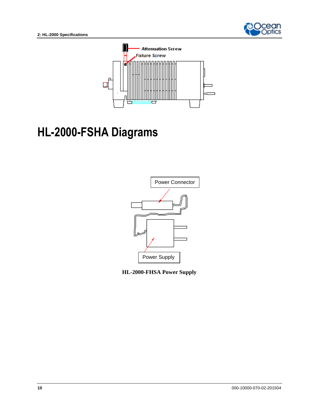



# **HL-2000-FSHA Diagrams**



**HL-2000-FHSA Power Supply**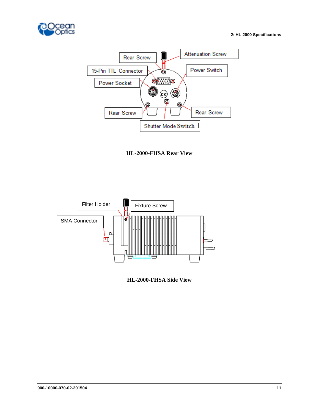







**HL-2000-FHSA Side View**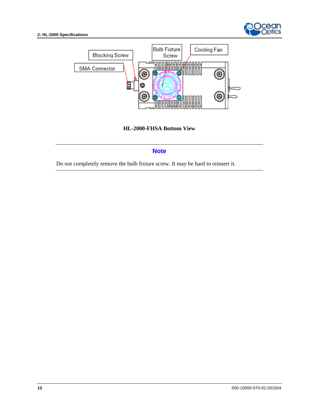



**HL-2000-FHSA Bottom View**

#### **Note**

Do not completely remove the bulb fixture screw. It may be hard to reinsert it.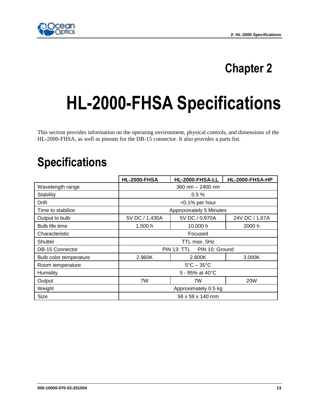

# **Chapter 2**

# **HL-2000-FHSA Specifications**

This section provides information on the operating environment, physical controls, and dimensions of the HL-2000-FHSA, as well as pinouts for the DB-15 connector. It also provides a parts list.

### **Specifications**

|                        | <b>HL-2000-FHSA</b>                  | HL-2000-FHSA-LL | HL-2000-FHSA-HP |
|------------------------|--------------------------------------|-----------------|-----------------|
| Wavelength range       | 360 nm $-$ 2400 nm                   |                 |                 |
| Stability              | 0.5%                                 |                 |                 |
| Drift                  | <0.1% per hour                       |                 |                 |
| Time to stabilize      | Approximately 5 Minutes              |                 |                 |
| Output to bulb         | 5V DC / 1,435A                       | 5V DC / 0,970A  | 24V DC / 1,67A  |
| Bulb life time         | 1.500 h                              | 10.000 h        | 2000 h          |
| Characteristic         | Focused                              |                 |                 |
| Shutter                | TTL max. 5Hz                         |                 |                 |
| <b>DB-15 Connector</b> | PIN 10: Ground<br><b>PIN 13: TTL</b> |                 |                 |
| Bulb color temperature | 2.960K                               | 2.800K          | 3.000K          |
| Room temperature       | $5^{\circ}$ C – 35 $^{\circ}$ C      |                 |                 |
| <b>Humidity</b>        | 5 - 95% at 40°C                      |                 |                 |
| Output                 | 7W                                   | 7W              | <b>20W</b>      |
| Weight                 | Approximately 0.5 kg                 |                 |                 |
| Size                   | 58 x 59 x 140 mm                     |                 |                 |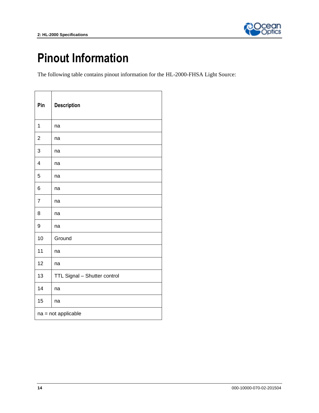

# **Pinout Information**

The following table contains pinout information for the HL-2000-FHSA Light Source:

| Pin            | <b>Description</b>           |
|----------------|------------------------------|
| 1              | na                           |
| $\overline{c}$ | na                           |
| 3              | na                           |
| 4              | na                           |
| 5              | na                           |
| 6              | na                           |
| $\overline{7}$ | na                           |
| 8              | na                           |
| 9              | na                           |
| 10             | Ground                       |
| 11             | na                           |
| 12             | na                           |
| 13             | TTL Signal - Shutter control |
| 14             | na                           |
| 15             | na                           |
|                | na = not applicable          |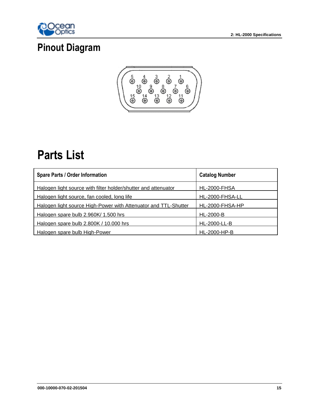



### **Pinout Diagram**



## **Parts List**

| <b>Spare Parts / Order Information</b>                          | <b>Catalog Number</b> |
|-----------------------------------------------------------------|-----------------------|
| Halogen light source with filter holder/shutter and attenuator  | <b>HL-2000-FHSA</b>   |
| Halogen light source, fan cooled, long life                     | HL-2000-FHSA-LL       |
| Halogen light source High-Power with Attenuator and TTL-Shutter | HL-2000-FHSA-HP       |
| Halogen spare bulb 2.960K/1.500 hrs                             | HL-2000-B             |
| Halogen spare bulb 2.800K / 10.000 hrs                          | HL-2000-LL-B          |
| Halogen spare bulb High-Power                                   | HL-2000-HP-B          |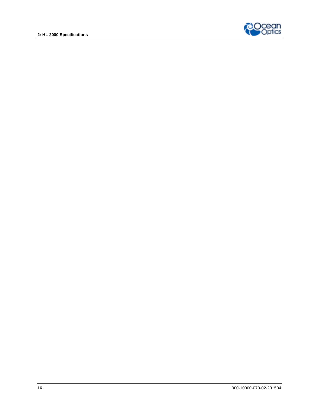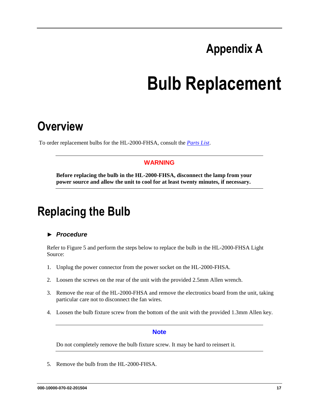# **Appendix A**

# **Bulb Replacement**

### **Overview**

To order replacement bulbs for the HL-2000-FHSA, consult the *Parts List*.

#### **WARNING**

**Before replacing the bulb in the HL-2000-FHSA, disconnect the lamp from your power source and allow the unit to cool for at least twenty minutes, if necessary.**

### **Replacing the Bulb**

#### ► *Procedure*

Refer to Figure 5 and perform the steps below to replace the bulb in the HL-2000-FHSA Light Source:

- 1. Unplug the power connector from the power socket on the HL-2000-FHSA.
- 2. Loosen the screws on the rear of the unit with the provided 2.5mm Allen wrench.
- 3. Remove the rear of the HL-2000-FHSA and remove the electronics board from the unit, taking particular care not to disconnect the fan wires.
- 4. Loosen the bulb fixture screw from the bottom of the unit with the provided 1.3mm Allen key.

#### **Note**

Do not completely remove the bulb fixture screw. It may be hard to reinsert it.

5. Remove the bulb from the HL-2000-FHSA.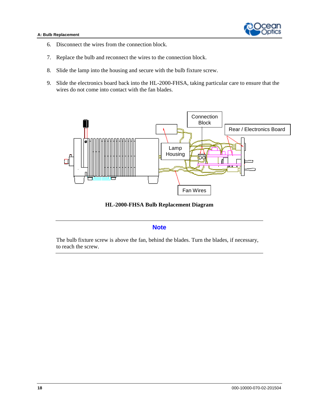#### **A: Bulb Replacement**



- 6. Disconnect the wires from the connection block.
- 7. Replace the bulb and reconnect the wires to the connection block.
- 8. Slide the lamp into the housing and secure with the bulb fixture screw.
- 9. Slide the electronics board back into the HL-2000-FHSA, taking particular care to ensure that the wires do not come into contact with the fan blades.



**HL-2000-FHSA Bulb Replacement Diagram**

#### **Note**

The bulb fixture screw is above the fan, behind the blades. Turn the blades, if necessary, to reach the screw.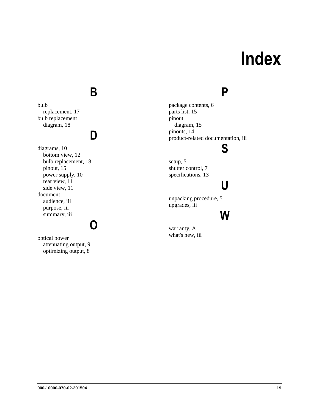# **Index**

### **B**

bulb replacement, 17 bulb replacement diagram, 18

### **D**

diagrams, 10 bottom view, 12 bulb replacement, 18 pinout, 15 power supply, 10 rear view, 11 side view, 11 document audience, iii purpose, iii summary, iii

### **O**

optical power attenuating output, 9 optimizing output, 8

### **P**

package contents, 6 parts list, 15 pinout diagram, 15 pinouts, 14 product-related documentation, iii

### **S**

setup, 5 shutter control, 7 specifications, 13

### **U**

unpacking procedure, 5 upgrades, iii

### **W**

warranty, A what's new, iii